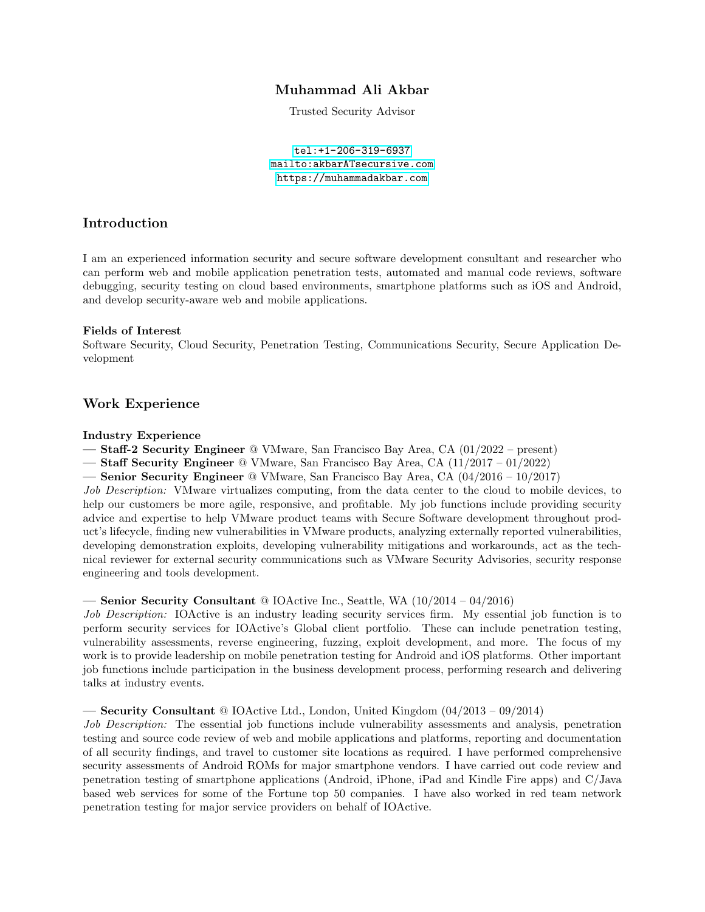# Muhammad Ali Akbar

Trusted Security Advisor

<tel:+1-206-319-6937> <mailto:akbarATsecursive.com> <https://muhammadakbar.com>

## Introduction

I am an experienced information security and secure software development consultant and researcher who can perform web and mobile application penetration tests, automated and manual code reviews, software debugging, security testing on cloud based environments, smartphone platforms such as iOS and Android, and develop security-aware web and mobile applications.

### Fields of Interest

Software Security, Cloud Security, Penetration Testing, Communications Security, Secure Application Development

## Work Experience

#### Industry Experience

— Staff-2 Security Engineer @ VMware, San Francisco Bay Area, CA (01/2022 – present)

— Staff Security Engineer @ VMware, San Francisco Bay Area, CA (11/2017 – 01/2022)

— Senior Security Engineer @ VMware, San Francisco Bay Area, CA (04/2016 – 10/2017)

Job Description: VMware virtualizes computing, from the data center to the cloud to mobile devices, to help our customers be more agile, responsive, and profitable. My job functions include providing security advice and expertise to help VMware product teams with Secure Software development throughout product's lifecycle, finding new vulnerabilities in VMware products, analyzing externally reported vulnerabilities, developing demonstration exploits, developing vulnerability mitigations and workarounds, act as the technical reviewer for external security communications such as VMware Security Advisories, security response engineering and tools development.

### — Senior Security Consultant @ IOActive Inc., Seattle, WA (10/2014 – 04/2016)

Job Description: IOActive is an industry leading security services firm. My essential job function is to perform security services for IOActive's Global client portfolio. These can include penetration testing, vulnerability assessments, reverse engineering, fuzzing, exploit development, and more. The focus of my work is to provide leadership on mobile penetration testing for Android and iOS platforms. Other important job functions include participation in the business development process, performing research and delivering talks at industry events.

### — Security Consultant  $\textcircled{a}$  IOActive Ltd., London, United Kingdom  $(04/2013 - 09/2014)$

Job Description: The essential job functions include vulnerability assessments and analysis, penetration testing and source code review of web and mobile applications and platforms, reporting and documentation of all security findings, and travel to customer site locations as required. I have performed comprehensive security assessments of Android ROMs for major smartphone vendors. I have carried out code review and penetration testing of smartphone applications (Android, iPhone, iPad and Kindle Fire apps) and C/Java based web services for some of the Fortune top 50 companies. I have also worked in red team network penetration testing for major service providers on behalf of IOActive.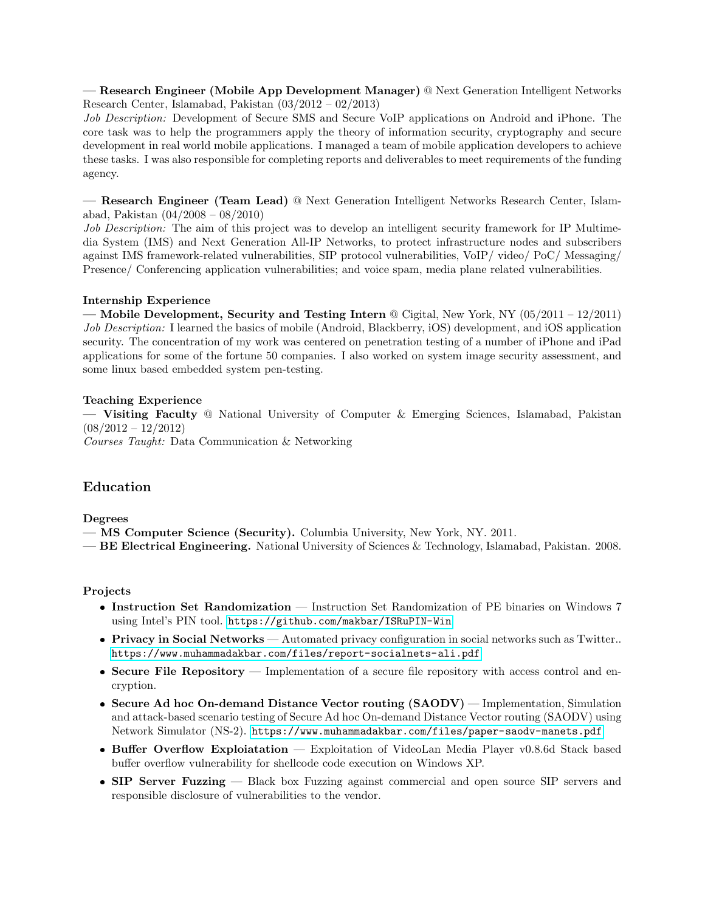— Research Engineer (Mobile App Development Manager) @ Next Generation Intelligent Networks Research Center, Islamabad, Pakistan (03/2012 – 02/2013)

Job Description: Development of Secure SMS and Secure VoIP applications on Android and iPhone. The core task was to help the programmers apply the theory of information security, cryptography and secure development in real world mobile applications. I managed a team of mobile application developers to achieve these tasks. I was also responsible for completing reports and deliverables to meet requirements of the funding agency.

— Research Engineer (Team Lead) @ Next Generation Intelligent Networks Research Center, Islamabad, Pakistan (04/2008 – 08/2010)

Job Description: The aim of this project was to develop an intelligent security framework for IP Multimedia System (IMS) and Next Generation All-IP Networks, to protect infrastructure nodes and subscribers against IMS framework-related vulnerabilities, SIP protocol vulnerabilities, VoIP/ video/ PoC/ Messaging/ Presence/ Conferencing application vulnerabilities; and voice spam, media plane related vulnerabilities.

### Internship Experience

— Mobile Development, Security and Testing Intern @ Cigital, New York, NY (05/2011 – 12/2011) Job Description: I learned the basics of mobile (Android, Blackberry, iOS) development, and iOS application security. The concentration of my work was centered on penetration testing of a number of iPhone and iPad applications for some of the fortune 50 companies. I also worked on system image security assessment, and some linux based embedded system pen-testing.

#### Teaching Experience

— Visiting Faculty @ National University of Computer & Emerging Sciences, Islamabad, Pakistan  $(08/2012 - 12/2012)$ 

Courses Taught: Data Communication & Networking

# Education

Degrees

- MS Computer Science (Security). Columbia University, New York, NY. 2011.
- BE Electrical Engineering. National University of Sciences & Technology, Islamabad, Pakistan. 2008.

### Projects

- Instruction Set Randomization Instruction Set Randomization of PE binaries on Windows 7 using Intel's PIN tool. <https://github.com/makbar/ISRuPIN-Win>
- **Privacy in Social Networks** Automated privacy configuration in social networks such as Twitter.. <https://www.muhammadakbar.com/files/report-socialnets-ali.pdf>
- Secure File Repository Implementation of a secure file repository with access control and encryption.
- Secure Ad hoc On-demand Distance Vector routing (SAODV) Implementation, Simulation and attack-based scenario testing of Secure Ad hoc On-demand Distance Vector routing (SAODV) using Network Simulator (NS-2). <https://www.muhammadakbar.com/files/paper-saodv-manets.pdf>
- Buffer Overflow Exploiatation Exploitation of VideoLan Media Player v0.8.6d Stack based buffer overflow vulnerability for shellcode code execution on Windows XP.
- SIP Server Fuzzing Black box Fuzzing against commercial and open source SIP servers and responsible disclosure of vulnerabilities to the vendor.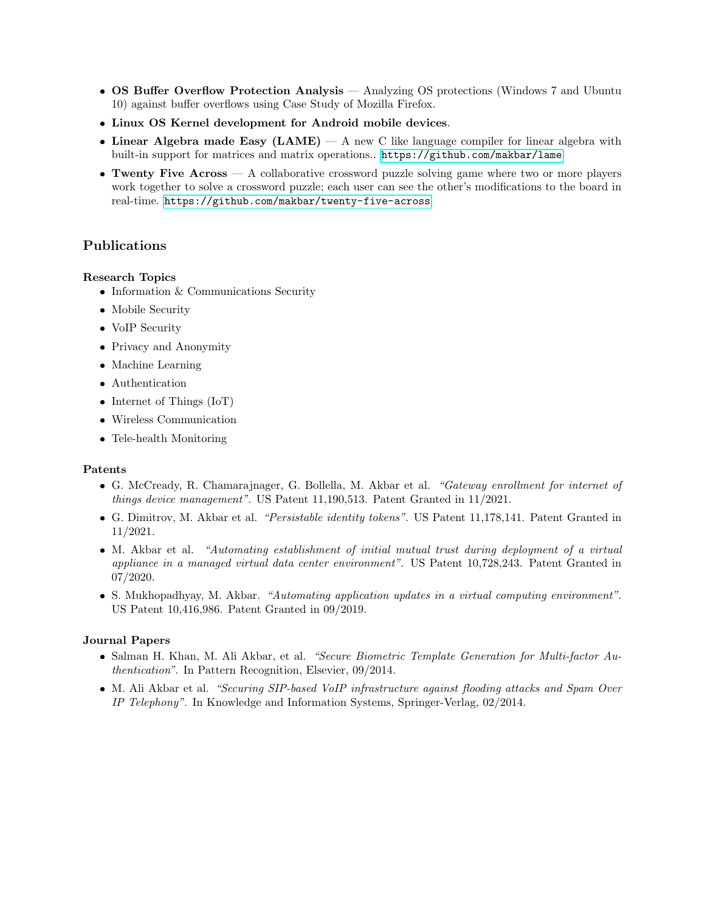- OS Buffer Overflow Protection Analysis Analyzing OS protections (Windows 7 and Ubuntu 10) against buffer overflows using Case Study of Mozilla Firefox.
- Linux OS Kernel development for Android mobile devices.
- Linear Algebra made Easy  $(LAME) A$  new C like language compiler for linear algebra with built-in support for matrices and matrix operations.. <https://github.com/makbar/lame>
- $\bullet$  Twenty Five Across  $-$  A collaborative crossword puzzle solving game where two or more players work together to solve a crossword puzzle; each user can see the other's modifications to the board in real-time. <https://github.com/makbar/twenty-five-across>

# Publications

#### Research Topics

- $\bullet$  Information & Communications Security
- Mobile Security
- VoIP Security
- Privacy and Anonymity
- Machine Learning
- Authentication
- Internet of Things (IoT)
- Wireless Communication
- Tele-health Monitoring

#### Patents

- G. McCready, R. Chamarajnager, G. Bollella, M. Akbar et al. "Gateway enrollment for internet of things device management". US Patent 11,190,513. Patent Granted in 11/2021.
- G. Dimitrov, M. Akbar et al. "Persistable identity tokens". US Patent 11,178,141. Patent Granted in 11/2021.
- M. Akbar et al. "Automating establishment of initial mutual trust during deployment of a virtual appliance in a managed virtual data center environment". US Patent 10,728,243. Patent Granted in 07/2020.
- S. Mukhopadhyay, M. Akbar. "Automating application updates in a virtual computing environment". US Patent 10,416,986. Patent Granted in 09/2019.

### Journal Papers

- Salman H. Khan, M. Ali Akbar, et al. "Secure Biometric Template Generation for Multi-factor Authentication". In Pattern Recognition, Elsevier, 09/2014.
- M. Ali Akbar et al. "Securing SIP-based VoIP infrastructure against flooding attacks and Spam Over IP Telephony". In Knowledge and Information Systems, Springer-Verlag, 02/2014.